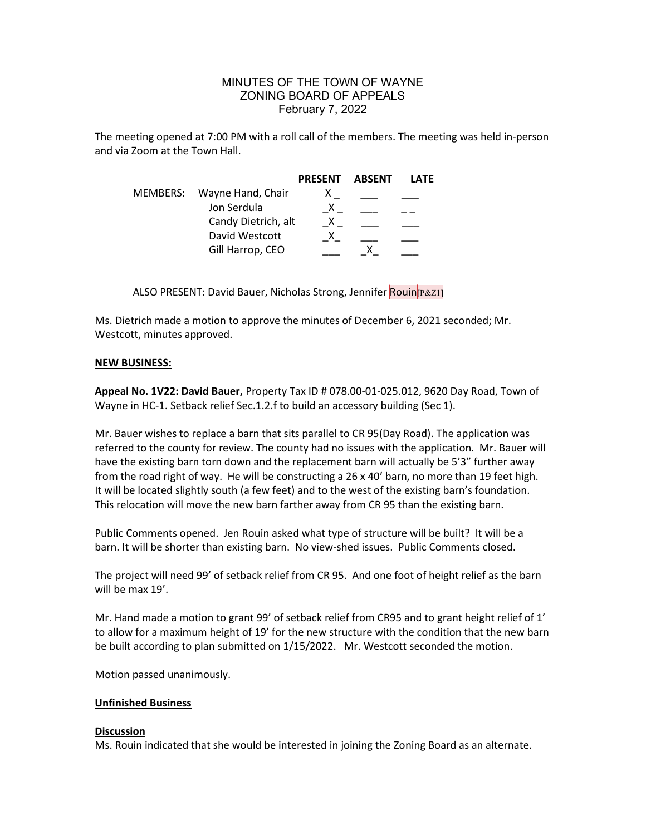## MINUTES OF THE TOWN OF WAYNE ZONING BOARD OF APPEALS February 7, 2022

The meeting opened at 7:00 PM with a roll call of the members. The meeting was held in-person and via Zoom at the Town Hall.

|          |                     | <b>PRESENT</b> | ABSENT | LATF |
|----------|---------------------|----------------|--------|------|
| MEMBERS: | Wayne Hand, Chair   |                |        |      |
|          | Jon Serdula         |                |        |      |
|          | Candy Dietrich, alt |                |        |      |
|          | David Westcott      |                |        |      |
|          | Gill Harrop, CEO    |                |        |      |

ALSO PRESENT: David Bauer, Nicholas Strong, Jennifer Rouin[P&Z1]

Ms. Dietrich made a motion to approve the minutes of December 6, 2021 seconded; Mr. Westcott, minutes approved.

## NEW BUSINESS:

Appeal No. 1V22: David Bauer, Property Tax ID # 078.00-01-025.012, 9620 Day Road, Town of Wayne in HC-1. Setback relief Sec.1.2.f to build an accessory building (Sec 1).

Mr. Bauer wishes to replace a barn that sits parallel to CR 95(Day Road). The application was referred to the county for review. The county had no issues with the application. Mr. Bauer will have the existing barn torn down and the replacement barn will actually be 5'3" further away from the road right of way. He will be constructing a 26 x 40' barn, no more than 19 feet high. It will be located slightly south (a few feet) and to the west of the existing barn's foundation. This relocation will move the new barn farther away from CR 95 than the existing barn.

Public Comments opened. Jen Rouin asked what type of structure will be built? It will be a barn. It will be shorter than existing barn. No view-shed issues. Public Comments closed.

The project will need 99' of setback relief from CR 95. And one foot of height relief as the barn will be max 19'.

Mr. Hand made a motion to grant 99' of setback relief from CR95 and to grant height relief of 1' to allow for a maximum height of 19' for the new structure with the condition that the new barn be built according to plan submitted on 1/15/2022. Mr. Westcott seconded the motion.

Motion passed unanimously.

## Unfinished Business

## **Discussion**

Ms. Rouin indicated that she would be interested in joining the Zoning Board as an alternate.